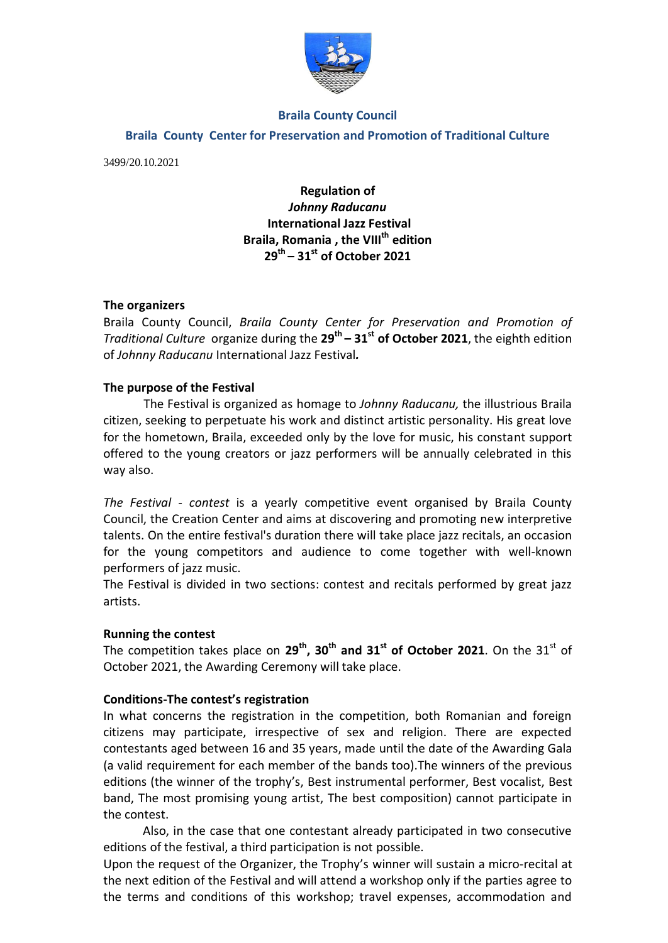

#### **Braila County Council**

#### **Braila County Center for Preservation and Promotion of Traditional Culture**

3499/20.10.2021

# **Regulation of**  *Johnny Raducanu* **International Jazz Festival Braila, Romania , the VIII th edition 29th – 31st of October 2021**

## **The organizers**

Braila County Council, *Braila County Center for Preservation and Promotion of Traditional Culture* organize during the **29th – 31st of October 2021**, the eighth edition of *Johnny Raducanu* International Jazz Festival*.* 

## **The purpose of the Festival**

The Festival is organized as homage to *Johnny Raducanu,* the illustrious Braila citizen, seeking to perpetuate his work and distinct artistic personality. His great love for the hometown, Braila, exceeded only by the love for music, his constant support offered to the young creators or jazz performers will be annually celebrated in this way also.

*The Festival - contest* is a yearly competitive event organised by Braila County Council, the Creation Center and aims at discovering and promoting new interpretive talents. On the entire festival's duration there will take place jazz recitals, an occasion for the young competitors and audience to come together with well-known performers of jazz music.

The Festival is divided in two sections: contest and recitals performed by great jazz artists.

#### **Running the contest**

The competition takes place on **29th, 30th and 31st of October 2021**. On the 31st of October 2021, the Awarding Ceremony will take place.

#### **Conditions-The contest's registration**

In what concerns the registration in the competition, both Romanian and foreign citizens may participate, irrespective of sex and religion. There are expected contestants aged between 16 and 35 years, made until the date of the Awarding Gala (a valid requirement for each member of the bands too).The winners of the previous editions (the winner of the trophy's, Best instrumental performer, Best vocalist, Best band, The most promising young artist, The best composition) cannot participate in the contest.

Also, in the case that one contestant already participated in two consecutive editions of the festival, a third participation is not possible.

Upon the request of the Organizer, the Trophy's winner will sustain a micro-recital at the next edition of the Festival and will attend a workshop only if the parties agree to the terms and conditions of this workshop; travel expenses, accommodation and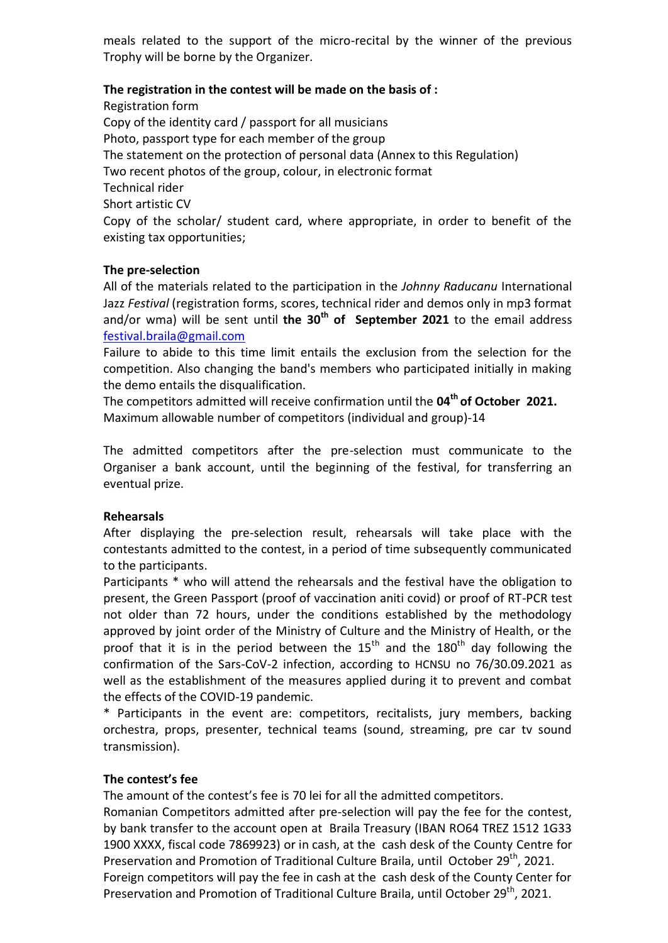meals related to the support of the micro-recital by the winner of the previous Trophy will be borne by the Organizer.

## **The registration in the contest will be made on the basis of :**

Registration form Copy of the identity card / passport for all musicians Photo, passport type for each member of the group The statement on the protection of personal data (Annex to this Regulation) Two recent photos of the group, colour, in electronic format Technical rider Short artistic CV Copy of the scholar/ student card, where appropriate, in order to benefit of the existing tax opportunities;

#### **The pre-selection**

All of the materials related to the participation in the *Johnny Raducanu* International Jazz *Festival* (registration forms, scores, technical rider and demos only in mp3 format and/or wma) will be sent until the 30<sup>th</sup> of September 2021 to the email address [festival.braila@gmail.com](mailto:festival.braila@gmail.com)

Failure to abide to this time limit entails the exclusion from the selection for the competition. Also changing the band's members who participated initially in making the demo entails the disqualification.

The competitors admitted will receive confirmation until the **04th of October 2021.** Maximum allowable number of competitors (individual and group)-14

The admitted competitors after the pre-selection must communicate to the Organiser a bank account, until the beginning of the festival, for transferring an eventual prize.

#### **Rehearsals**

After displaying the pre-selection result, rehearsals will take place with the contestants admitted to the contest, in a period of time subsequently communicated to the participants.

Participants \* who will attend the rehearsals and the festival have the obligation to present, the Green Passport (proof of vaccination aniti covid) or proof of RT-PCR test not older than 72 hours, under the conditions established by the methodology approved by joint order of the Ministry of Culture and the Ministry of Health, or the proof that it is in the period between the  $15<sup>th</sup>$  and the  $180<sup>th</sup>$  day following the confirmation of the Sars-CoV-2 infection, according to HCNSU no 76/30.09.2021 as well as the establishment of the measures applied during it to prevent and combat the effects of the COVID-19 pandemic.

\* Participants in the event are: competitors, recitalists, jury members, backing orchestra, props, presenter, technical teams (sound, streaming, pre car tv sound transmission).

#### **The contest's fee**

The amount of the contest's fee is 70 lei for all the admitted competitors.

Romanian Competitors admitted after pre-selection will pay the fee for the contest, by bank transfer to the account open at Braila Treasury (IBAN RO64 TREZ 1512 1G33 1900 XXXX, fiscal code 7869923) or in cash, at the cash desk of the County Centre for Preservation and Promotion of Traditional Culture Braila, until October 29<sup>th</sup>, 2021. Foreign competitors will pay the fee in cash at the cash desk of the County Center for Preservation and Promotion of Traditional Culture Braila, until October 29<sup>th</sup>, 2021.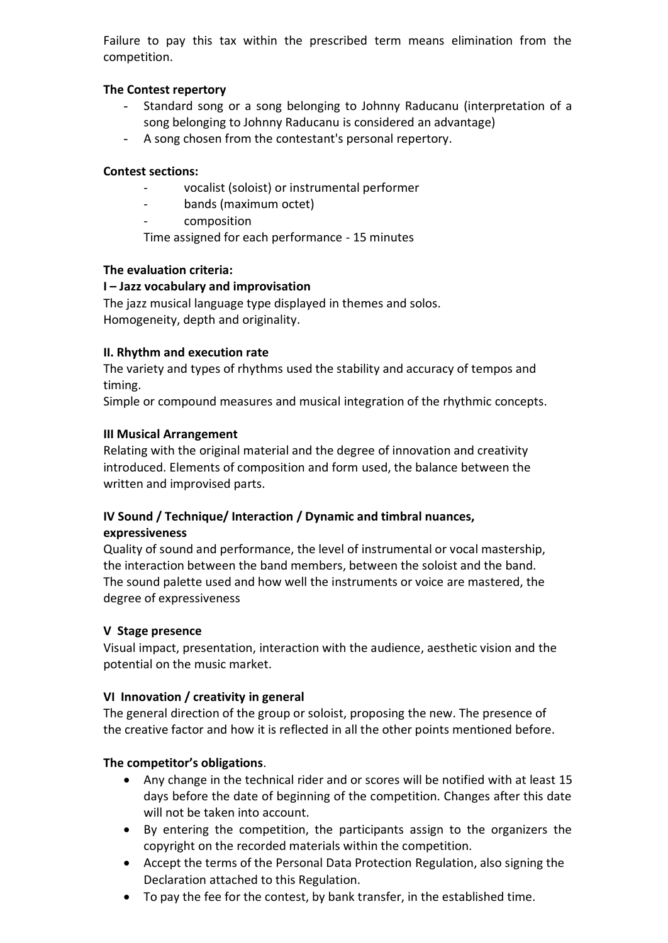Failure to pay this tax within the prescribed term means elimination from the competition.

# **The Contest repertory**

- Standard song or a song belonging to Johnny Raducanu (interpretation of a song belonging to Johnny Raducanu is considered an advantage)
- A song chosen from the contestant's personal repertory.

## **Contest sections:**

- vocalist (soloist) or instrumental performer
- bands (maximum octet)
- composition

Time assigned for each performance - 15 minutes

# **The evaluation criteria:**

# **I – Jazz vocabulary and improvisation**

The jazz musical language type displayed in themes and solos. Homogeneity, depth and originality.

# **II. Rhythm and execution rate**

The variety and types of rhythms used the stability and accuracy of tempos and timing.

Simple or compound measures and musical integration of the rhythmic concepts.

## **III Musical Arrangement**

Relating with the original material and the degree of innovation and creativity introduced. Elements of composition and form used, the balance between the written and improvised parts.

## **IV Sound / Technique/ Interaction / Dynamic and timbral nuances, expressiveness**

Quality of sound and performance, the level of instrumental or vocal mastership, the interaction between the band members, between the soloist and the band. The sound palette used and how well the instruments or voice are mastered, the degree of expressiveness

# **V Stage presence**

Visual impact, presentation, interaction with the audience, aesthetic vision and the potential on the music market.

# **VI Innovation / creativity in general**

The general direction of the group or soloist, proposing the new. The presence of the creative factor and how it is reflected in all the other points mentioned before.

# **The competitor's obligations**.

- Any change in the technical rider and or scores will be notified with at least 15 days before the date of beginning of the competition. Changes after this date will not be taken into account.
- By entering the competition, the participants assign to the organizers the copyright on the recorded materials within the competition.
- Accept the terms of the Personal Data Protection Regulation, also signing the Declaration attached to this Regulation.
- To pay the fee for the contest, by bank transfer, in the established time.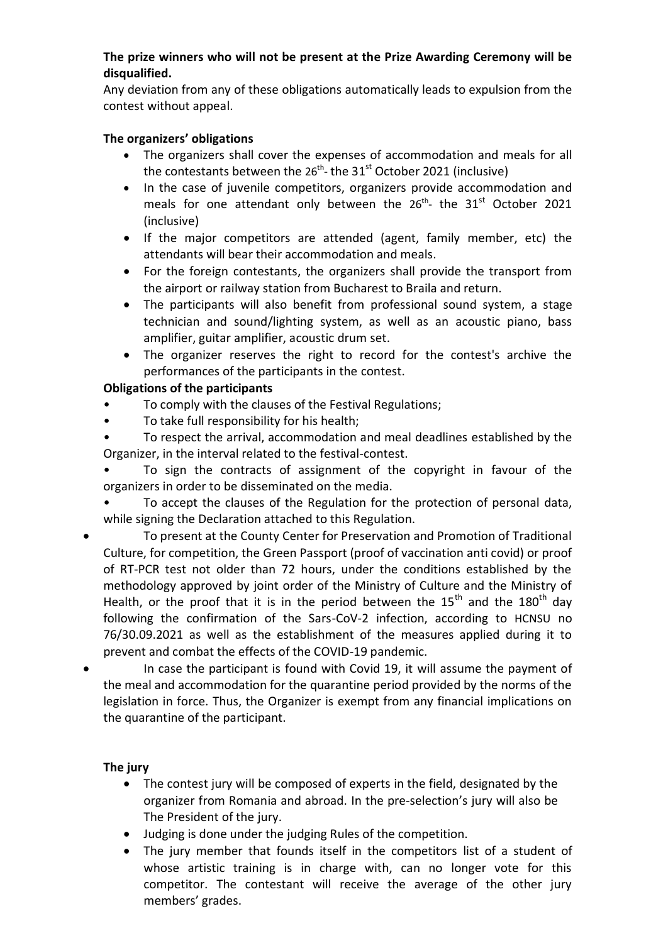## **The prize winners who will not be present at the Prize Awarding Ceremony will be disqualified.**

Any deviation from any of these obligations automatically leads to expulsion from the contest without appeal.

## **The organizers' obligations**

- The organizers shall cover the expenses of accommodation and meals for all the contestants between the 26<sup>th</sup>- the 31<sup>st</sup> October 2021 (inclusive)
- In the case of juvenile competitors, organizers provide accommodation and meals for one attendant only between the  $26^{th}$ - the  $31^{st}$  October 2021 (inclusive)
- If the major competitors are attended (agent, family member, etc) the attendants will bear their accommodation and meals.
- For the foreign contestants, the organizers shall provide the transport from the airport or railway station from Bucharest to Braila and return.
- The participants will also benefit from professional sound system, a stage technician and sound/lighting system, as well as an acoustic piano, bass amplifier, guitar amplifier, acoustic drum set.
- The organizer reserves the right to record for the contest's archive the performances of the participants in the contest.

# **Obligations of the participants**

- To comply with the clauses of the Festival Regulations;
- To take full responsibility for his health;
- To respect the arrival, accommodation and meal deadlines established by the Organizer, in the interval related to the festival-contest.

• To sign the contracts of assignment of the copyright in favour of the organizers in order to be disseminated on the media.

- To accept the clauses of the Regulation for the protection of personal data, while signing the Declaration attached to this Regulation.
- To present at the County Center for Preservation and Promotion of Traditional Culture, for competition, the Green Passport (proof of vaccination anti covid) or proof of RT-PCR test not older than 72 hours, under the conditions established by the methodology approved by joint order of the Ministry of Culture and the Ministry of Health, or the proof that it is in the period between the  $15<sup>th</sup>$  and the  $180<sup>th</sup>$  day following the confirmation of the Sars-CoV-2 infection, according to HCNSU no 76/30.09.2021 as well as the establishment of the measures applied during it to prevent and combat the effects of the COVID-19 pandemic.
- In case the participant is found with Covid 19, it will assume the payment of the meal and accommodation for the quarantine period provided by the norms of the legislation in force. Thus, the Organizer is exempt from any financial implications on the quarantine of the participant.

# **The jury**

- The contest jury will be composed of experts in the field, designated by the organizer from Romania and abroad. In the pre-selection's jury will also be The President of the jury.
- Judging is done under the judging Rules of the competition.
- The jury member that founds itself in the competitors list of a student of whose artistic training is in charge with, can no longer vote for this competitor. The contestant will receive the average of the other jury members' grades.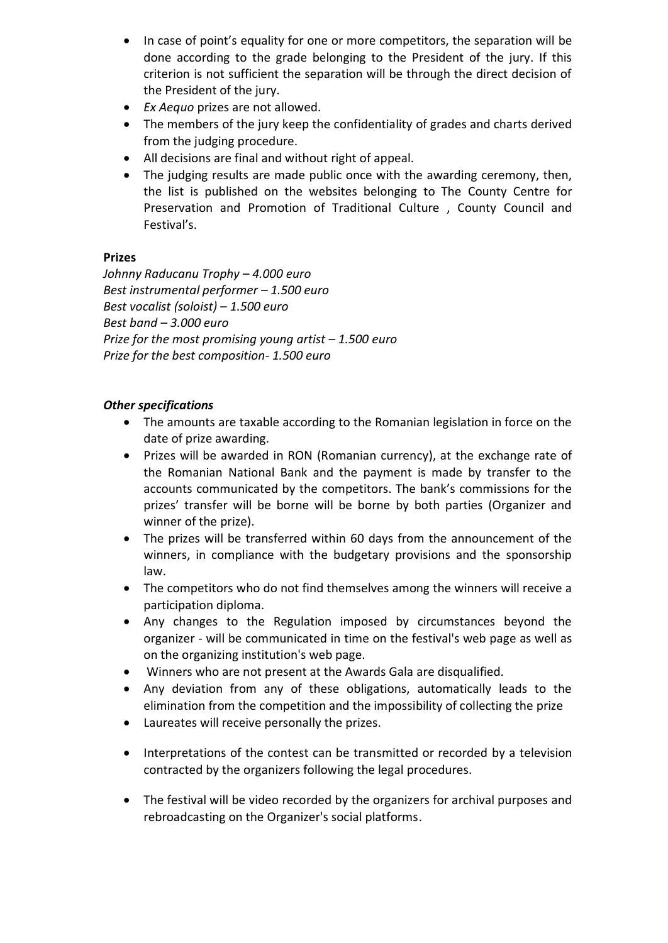- In case of point's equality for one or more competitors, the separation will be done according to the grade belonging to the President of the jury. If this criterion is not sufficient the separation will be through the direct decision of the President of the jury.
- *Ex Aequo* prizes are not allowed.
- The members of the jury keep the confidentiality of grades and charts derived from the judging procedure.
- All decisions are final and without right of appeal.
- The judging results are made public once with the awarding ceremony, then, the list is published on the websites belonging to The County Centre for Preservation and Promotion of Traditional Culture , County Council and Festival's.

# **Prizes**

*Johnny Raducanu Trophy – 4.000 euro Best instrumental performer – 1.500 euro Best vocalist (soloist) – 1.500 euro Best band – 3.000 euro Prize for the most promising young artist – 1.500 euro Prize for the best composition- 1.500 euro*

# *Other specifications*

- The amounts are taxable according to the Romanian legislation in force on the date of prize awarding.
- Prizes will be awarded in RON (Romanian currency), at the exchange rate of the Romanian National Bank and the payment is made by transfer to the accounts communicated by the competitors. The bank's commissions for the prizes' transfer will be borne will be borne by both parties (Organizer and winner of the prize).
- The prizes will be transferred within 60 days from the announcement of the winners, in compliance with the budgetary provisions and the sponsorship law.
- The competitors who do not find themselves among the winners will receive a participation diploma.
- Any changes to the Regulation imposed by circumstances beyond the organizer - will be communicated in time on the festival's web page as well as on the organizing institution's web page.
- Winners who are not present at the Awards Gala are disqualified.
- Any deviation from any of these obligations, automatically leads to the elimination from the competition and the impossibility of collecting the prize
- Laureates will receive personally the prizes.
- Interpretations of the contest can be transmitted or recorded by a television contracted by the organizers following the legal procedures.
- The festival will be video recorded by the organizers for archival purposes and rebroadcasting on the Organizer's social platforms.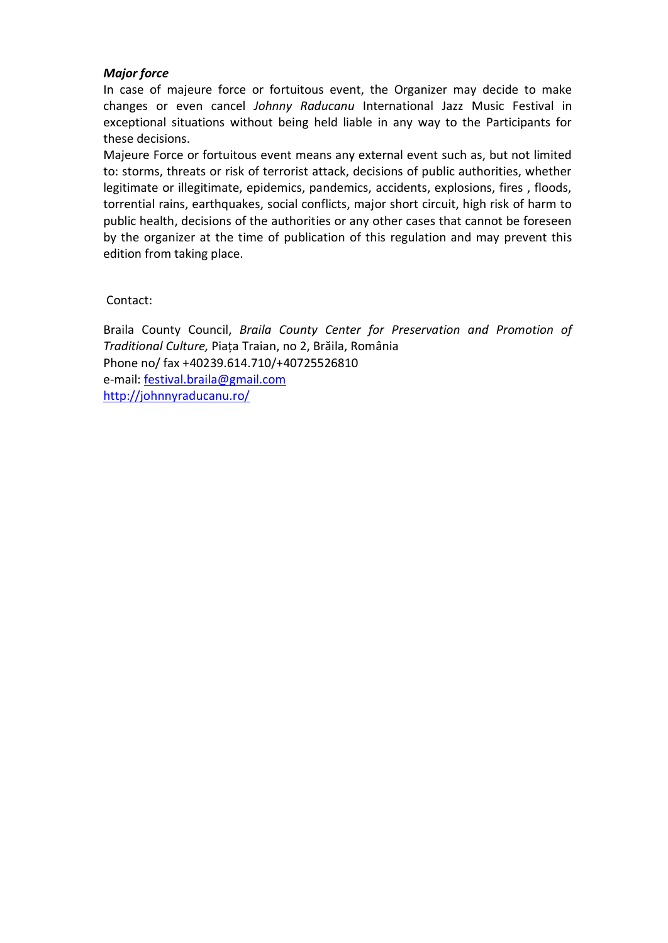## *Major force*

In case of majeure force or fortuitous event, the Organizer may decide to make changes or even cancel *Johnny Raducanu* International Jazz Music Festival in exceptional situations without being held liable in any way to the Participants for these decisions.

Majeure Force or fortuitous event means any external event such as, but not limited to: storms, threats or risk of terrorist attack, decisions of public authorities, whether legitimate or illegitimate, epidemics, pandemics, accidents, explosions, fires , floods, torrential rains, earthquakes, social conflicts, major short circuit, high risk of harm to public health, decisions of the authorities or any other cases that cannot be foreseen by the organizer at the time of publication of this regulation and may prevent this edition from taking place.

Contact:

Braila County Council, *Braila County Center for Preservation and Promotion of Traditional Culture,* Piața Traian, no 2, Brăila, România Phone no/ fax +40239.614.710/+40725526810 e-mail: [festival.braila@gmail.com](mailto:festival.braila@gmail.com) <http://johnnyraducanu.ro/>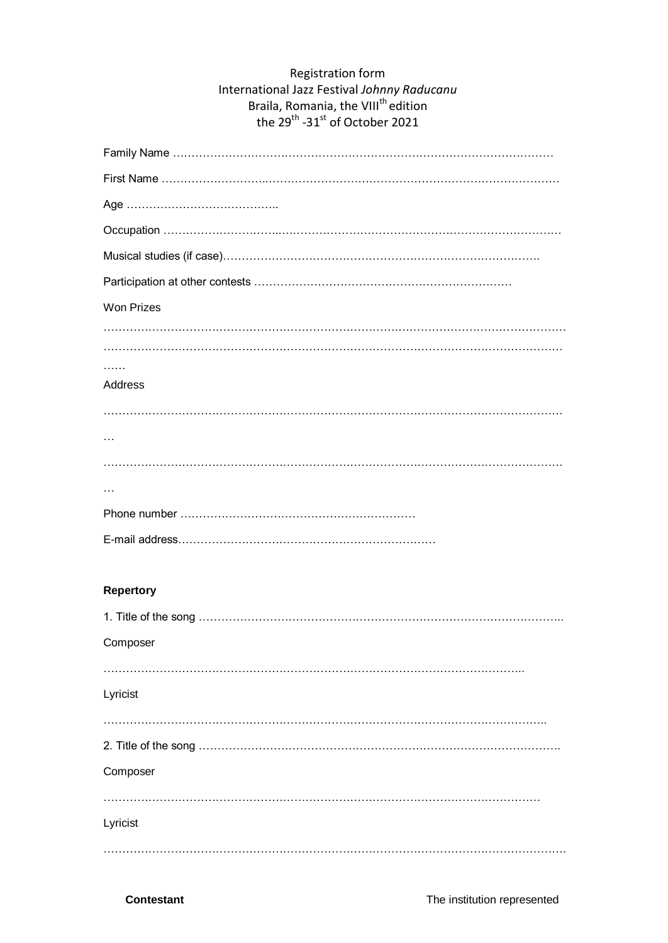# Registration form International Jazz Festival *Johnny Raducanu* Braila, Romania, the VIII<sup>th</sup> edition the 29 $^{\text{th}}$  -31 $^{\text{st}}$  of October 2021

| <b>Won Prizes</b> |
|-------------------|
|                   |
|                   |
| <b>Address</b>    |
|                   |
|                   |
|                   |
|                   |
|                   |
|                   |
|                   |
| <b>Repertory</b>  |
|                   |
| Composer          |
|                   |
| Lyricist          |
|                   |
|                   |
| Composer          |
|                   |
| Lyricist          |
|                   |
|                   |